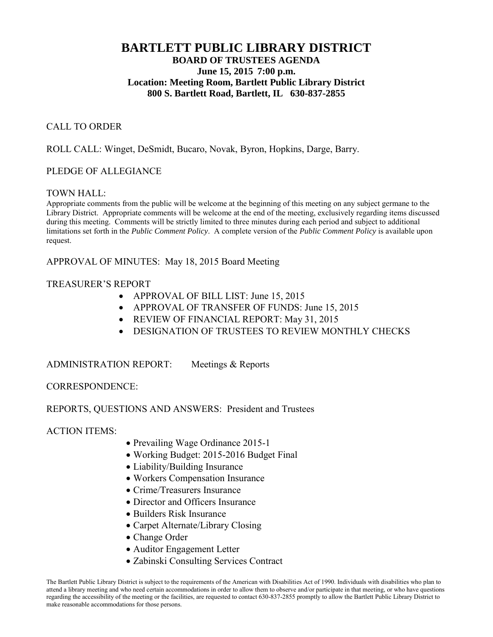# **BARTLETT PUBLIC LIBRARY DISTRICT BOARD OF TRUSTEES AGENDA June 15, 2015 7:00 p.m. Location: Meeting Room, Bartlett Public Library District 800 S. Bartlett Road, Bartlett, IL 630-837-2855**

## CALL TO ORDER

ROLL CALL: Winget, DeSmidt, Bucaro, Novak, Byron, Hopkins, Darge, Barry.

## PLEDGE OF ALLEGIANCE

#### TOWN HALL:

Appropriate comments from the public will be welcome at the beginning of this meeting on any subject germane to the Library District. Appropriate comments will be welcome at the end of the meeting, exclusively regarding items discussed during this meeting. Comments will be strictly limited to three minutes during each period and subject to additional limitations set forth in the *Public Comment Policy*. A complete version of the *Public Comment Policy* is available upon request.

APPROVAL OF MINUTES: May 18, 2015 Board Meeting

#### TREASURER'S REPORT

- APPROVAL OF BILL LIST: June 15, 2015
- APPROVAL OF TRANSFER OF FUNDS: June 15, 2015
- REVIEW OF FINANCIAL REPORT: May 31, 2015
- **DESIGNATION OF TRUSTEES TO REVIEW MONTHLY CHECKS**

#### ADMINISTRATION REPORT: Meetings & Reports

#### CORRESPONDENCE:

#### REPORTS, QUESTIONS AND ANSWERS: President and Trustees

#### ACTION ITEMS:

- Prevailing Wage Ordinance 2015-1
- Working Budget: 2015-2016 Budget Final
- Liability/Building Insurance
- Workers Compensation Insurance
- Crime/Treasurers Insurance
- Director and Officers Insurance
- Builders Risk Insurance
- Carpet Alternate/Library Closing
- Change Order
- Auditor Engagement Letter
- Zabinski Consulting Services Contract